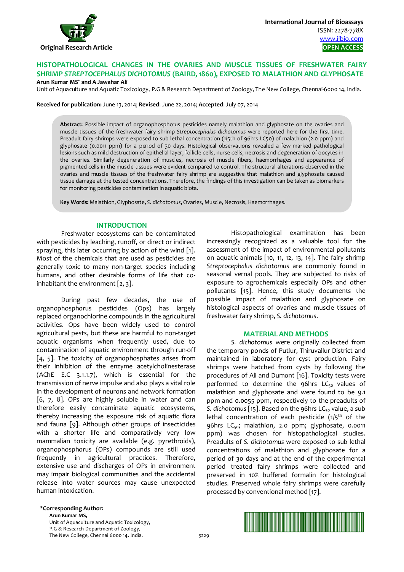

# **HISTOPATHOLOGICAL CHANGES IN THE OVARIES AND MUSCLE TISSUES OF FRESHWATER FAIRY SHRIMP** *STREPTOCEPHALUS DICHOTOMUS* **(BAIRD, 1860), EXPOSED TO MALATHION AND GLYPHOSATE Arun Kumar MS\* and A Jawahar Ali**

Unit of Aquaculture and Aquatic Toxicology, P.G & Research Department of Zoology, The New College, Chennai-6000 14, India.

**Received for publication:** June 13, 2014; **Revised**: June 22, 2014; **Accepted**: July 07, 2014

**Abstract:** Possible impact of organophosphorus pesticides namely malathion and glyphosate on the ovaries and muscle tissues of the freshwater fairy shrimp *Streptocephalus dichotomus* were reported here for the first time. Preadult fairy shrimps were exposed to sub lethal concentration (1/5th of 96hrs LC50) of malathion (2.0 ppm) and glyphosate (0.0011 ppm) for a period of 30 days. Histological observations revealed a few marked pathological lesions such as mild destruction of epithelial layer, follicle cells, nurse cells, necrosis and degeneration of oocytes in the ovaries. Similarly degeneration of muscles, necrosis of muscle fibers, haemorrhages and appearance of pigmented cells in the muscle tissues were evident compared to control. The structural alterations observed in the ovaries and muscle tissues of the freshwater fairy shrimp are suggestive that malathion and glyphosate caused tissue damage at the tested concentrations. Therefore, the findings of this investigation can be taken as biomarkers for monitoring pesticides contamination in aquatic biota.

**Key Words:** Malathion, Glyphosate**,** *S. dichotomus***,** Ovaries, Muscle, Necrosis, Haemorrhages.

## **INTRODUCTION**

Freshwater ecosystems can be contaminated with pesticides by leaching, runoff, or direct or indirect spraying, this later occurring by action of the wind [1]. Most of the chemicals that are used as pesticides are generally toxic to many non-target species including humans, and other desirable forms of life that coinhabitant the environment  $[2, 3]$ .

During past few decades, the use of organophosphorus pesticides (Ops) has largely replaced organochlorine compounds in the agricultural activities. Ops have been widely used to control agricultural pests, but these are harmful to non-target aquatic organisms when frequently used, due to contamination of aquatic environment through run-off [4, 5]. The toxicity of organophosphates arises from their inhibition of the enzyme acetylcholinesterase (AChE E.C 3.1.1.7), which is essential for the transmission of nerve impulse and also plays a vital role in the development of neurons and network formation [6, 7, 8]. OPs are highly soluble in water and can therefore easily contaminate aquatic ecosystems, thereby increasing the exposure risk of aquatic flora and fauna [9]. Although other groups of insecticides with a shorter life and comparatively very low mammalian toxicity are available (e.g. pyrethroids), organophosphorus (OPs) compounds are still used frequently in agricultural practices. Therefore, extensive use and discharges of OPs in environment may impair biological communities and the accidental release into water sources may cause unexpected human intoxication.

Histopathological examination has been increasingly recognized as a valuable tool for the assessment of the impact of environmental pollutants on aquatic animals  $[10, 11, 12, 13, 14]$ . The fairy shrimp *Streptocephalus dichotomus* are commonly found in seasonal vernal pools. They are subjected to risks of exposure to agrochemicals especially OPs and other pollutants [15]. Hence, this study documents the possible impact of malathion and glyphosate on histological aspects of ovaries and muscle tissues of freshwater fairy shrimp, *S. dichotomus*.

#### **MATERIAL AND METHODS**

*S. dichotomus* were originally collected from the temporary ponds of Putlur, Thiruvallur District and maintained in laboratory for cyst production. Fairy shrimps were hatched from cysts by following the procedures of Ali and Dumont [16]. Toxicity tests were performed to determine the 96hrs  $LC_{50}$  values of malathion and glyphosate and were found to be 9.1 ppm and 0.0055 ppm, respectively to the preadults of S. dichotomus [15]. Based on the 96hrs LC<sub>50</sub> value, a sub lethal concentration of each pesticide  $(1/5<sup>th</sup>$  of the 96hrs LC<sub>50</sub>; malathion, 2.0 ppm; glyphosate, 0.0011 ppm) was chosen for histopathological studies. Preadults of *S. dichotomus* were exposed to sub lethal concentrations of malathion and glyphosate for a period of 30 days and at the end of the experimental period treated fairy shrimps were collected and preserved in 10% buffered formalin for histological studies. Preserved whole fairy shrimps were carefully processed by conventional method [17].

**\*Corresponding Author: Arun Kumar MS,** 

> Unit of Aquaculture and Aquatic Toxicology, P.G & Research Department of Zoology, The New College, Chennai 6000 14. India. 3229

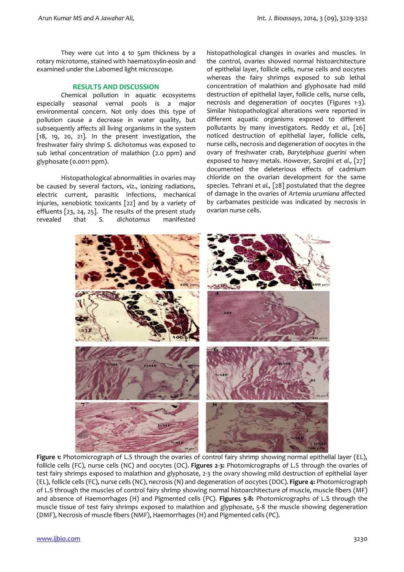They were cut into 4 to 5µm thickness by a rotary microtome, stained with haematoxylin-eosin and examined under the Labomed light microscope.

# **RESULTS AND DISCUSSION**

Chemical pollution in aquatic ecosystems especially seasonal vernal pools is a major environmental concern. Not only does this type of pollution cause a decrease in water quality, but subsequently affects all living organisms in the system [18, 19, 20, 21]. In the present investigation, the freshwater fairy shrimp *S. dichotomus* was exposed to sub lethal concentration of malathion (2.0 ppm) and glyphosate (0.0011 ppm).

Histopathological abnormalities in ovaries may be caused by several factors, viz., ionizing radiations, electric current, parasitic infections, mechanical injuries, xenobiotic toxicants [22] and by a variety of effluents [23, 24, 25]. The results of the present study revealed that *S. dichotomus* manifested histopathological changes in ovaries and muscles. In the control, ovaries showed normal histoarchitecture of epithelial layer, follicle cells, nurse cells and oocytes whereas the fairy shrimps exposed to sub lethal concentration of malathion and glyphosate had mild destruction of epithelial layer, follicle cells, nurse cells, necrosis and degeneration of oocytes (Figures 1-3). Similar histopathological alterations were reported in different aquatic organisms exposed to different pollutants by many investigators. Reddy *et al.,* [26] noticed destruction of epithelial layer, follicle cells, nurse cells, necrosis and degeneration of oocytes in the ovary of freshwater crab, *Barytelphusa guerini* when exposed to heavy metals. However, Sarojini *et al.,* [27] documented the deleterious effects of cadmium chloride on the ovarian development for the same species. Tehrani *et al.,* [28] postulated that the degree of damage in the ovaries of *Artemia urumiana* affected by carbamates pesticide was indicated by necrosis in ovarian nurse cells.



**Figure 1:** Photomicrograph of L.S through the ovaries of control fairy shrimp showing normal epithelial layer (EL), follicle cells (FC), nurse cells (NC) and oocytes (OC). **Figures 2-3:** Photomicrographs of L.S through the ovaries of test fairy shrimps exposed to malathion and glyphosate, 2-3 the ovary showing mild destruction of epithelial layer (EL), follicle cells (FC), nurse cells (NC), necrosis (N) and degeneration of oocytes (DOC). **Figure 4:** Photomicrograph of L.S through the muscles of control fairy shrimp showing normal histoarchitecture of muscle, muscle fibers (MF) and absence of Haemorrhages (H) and Pigmented cells (PC). **Figures 5-8:** Photomicrographs of L.S through the muscle tissue of test fairy shrimps exposed to malathion and glyphosate, 5-8 the muscle showing degeneration (DMF), Necrosis of muscle fibers (NMF), Haemorrhages (H) and Pigmented cells (PC).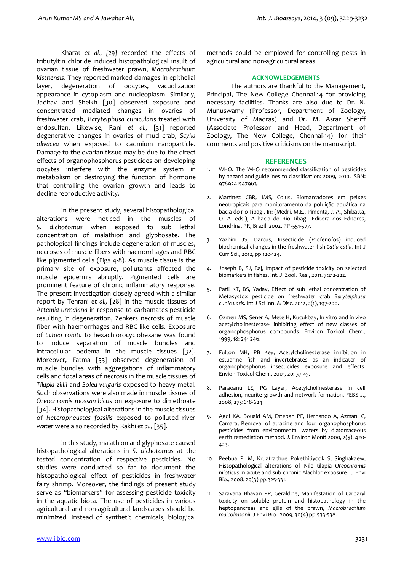Kharat *et al., [29]* recorded the effects of tributyltin chloride induced histopathological insult of ovarian tissue of freshwater prawn, *Macrobrachium kistnensis*. They reported marked damages in epithelial layer, degeneration of oocytes, vacuolization appearance in cytoplasm and nucleoplasm. Similarly, Jadhav and Sheikh [30] observed exposure and concentrated mediated changes in ovaries of freshwater crab, *Barytelphusa cunicularis* treated with endosulfan. Likewise, Rani *et al.,* [31] reported degenerative changes in ovaries of mud crab, *Scylla olivacea* when exposed to cadmium nanoparticle. Damage to the ovarian tissue may be due to the direct effects of organophosphorus pesticides on developing oocytes interfere with the enzyme system in metabolism or destroying the function of hormone that controlling the ovarian growth and leads to decline reproductive activity.

In the present study, several histopathological alterations were noticed in the muscles of *S. dichotomus* when exposed to sub lethal concentration of malathion and glyphosate. The pathological findings include degeneration of muscles, necroses of muscle fibers with haemorrhages and RBC like pigmented cells (Figs 4-8). As muscle tissue is the primary site of exposure, pollutants affected the muscle epidermis abruptly. Pigmented cells are prominent feature of chronic inflammatory response. The present investigation closely agreed with a similar report by Tehrani *et al.,* [28] in the muscle tissues of *Artemia urmaiana* in response to carbamates pesticide resulting in degeneration, Zenkers necrosis of muscle fiber with haemorrhages and RBC like cells. Exposure of *Labeo rohita* to hexachlorocyclohexane was found to induce separation of muscle bundles and intracellular oedema in the muscle tissues [32]. Moreover, Fatma [33] observed degeneration of muscle bundles with aggregations of inflammatory cells and focal areas of necrosis in the muscle tissues of *Tilapia zillii* and *Solea vulgaris* exposed to heavy metal. Such observations were also made in muscle tissues of *Oreochromis mossambicus* on exposure to dimethoate [34]. Histopathological alterations in the muscle tissues of *Heteropneustes fossilis* exposed to polluted river water were also recorded by Rakhi *et al.,* [35].

In this study, malathion and glyphosate caused histopathological alterations in *S. dichotomus* at the tested concentration of respective pesticides. No studies were conducted so far to document the histopathological effect of pesticides in freshwater fairy shrimp. Moreover, the findings of present study serve as "biomarkers" for assessing pesticide toxicity in the aquatic biota. The use of pesticides in various agricultural and non-agricultural landscapes should be minimized. Instead of synthetic chemicals, biological

methods could be employed for controlling pests in agricultural and non-agricultural areas.

### **ACKNOWLEDGEMENTS**

The authors are thankful to the Management, Principal, The New College Chennai-14 for providing necessary facilities. Thanks are also due to Dr. N. Munuswamy (Professor, Department of Zoology, University of Madras) and Dr. M. Asrar Sheriff (Associate Professor and Head, Department of Zoology, The New College, Chennai-14) for their comments and positive criticisms on the manuscript.

#### **REFERENCES**

- 1. WHO. The WHO recommended classification of pesticides by hazard and guidelines to classification: 2009, 2010, ISBN: 9789241547963.
- 2. Martinez CBR, IMS, Colus, Biomarcadores em peixes neotropicais para monitoramento da poluição aquática na bacia do rio Tibagi. In: (Medri, M.E., Pimenta, J. A., Shibatta, O. A. eds.), A bacia do Rio Tibagi. Editora dos Editores, Londrina, PR, Brazil. 2002, PP -551-577.
- 3. Yazhini JS, Darcus, Insecticide (Profenofos) induced biochemical changes in the freshwater fish *Catla catla.* Int J Curr Sci., 2012, pp.120-124.
- 4. Joseph B, SJ, Raj, Impact of pesticide toxicity on selected biomarkers in fishes. Int. J. Zool. Res., 2011. 7:212-222.
- 5. Patil KT, BS, Yadav, Effect of sub lethal concentration of Metasystox pesticide on freshwater crab *Barytelphusa cunicularis.* Int J Sci Inn. & Disc. 2012, 2(1), 197-200.
- 6. Ozmen MS, Sener A, Mete H, Kucukbay, In vitro and in vivo acetylcholinesterase- inhibiting effect of new classes of organophosphorus compounds. Environ Toxicol Chem., 1999, 18: 241-246.
- 7. Fulton MH, PB Key, Acetylcholinesterase inhibition in estuarine fish and invertebrates as an indicator of organophosphorus insecticides exposure and effects. Envion Toxicol Chem., 2001, 20: 37-45.
- 8. Paraoanu LE, PG Layer, Acetylcholinesterase in cell adhesion, neurite growth and network formation. FEBS J., 2008, 275:618-624.
- 9. Agdi KA, Bouaid AM, Esteban PF, Hernando A, Azmani C, Camara, Removal of atrazine and four organophosphorus pesticides from environmental waters by diatomaceous earth remediation method. *J*. Environ Monit 2000, 2(5), 420- 423.
- 10. Peebua P, M, Kruatrachue Pokethitiyook S, Singhakaew, Histopathological alterations of Nile tilapia *Oreochromis niloticus* in acute and sub chronic Alachlor exposure*.* J Envi Bio., 2008, 29(3) pp.325-331.
- 11. Saravana Bhavan PP, Geraldine, Manifestation of Carbaryl toxicity on soluble protein and histopathology in the heptopancreas and gills of the prawn, *Macrobrachium malcolmsonii*. J Envi Bio., 2009, 30(4) pp.533-538.